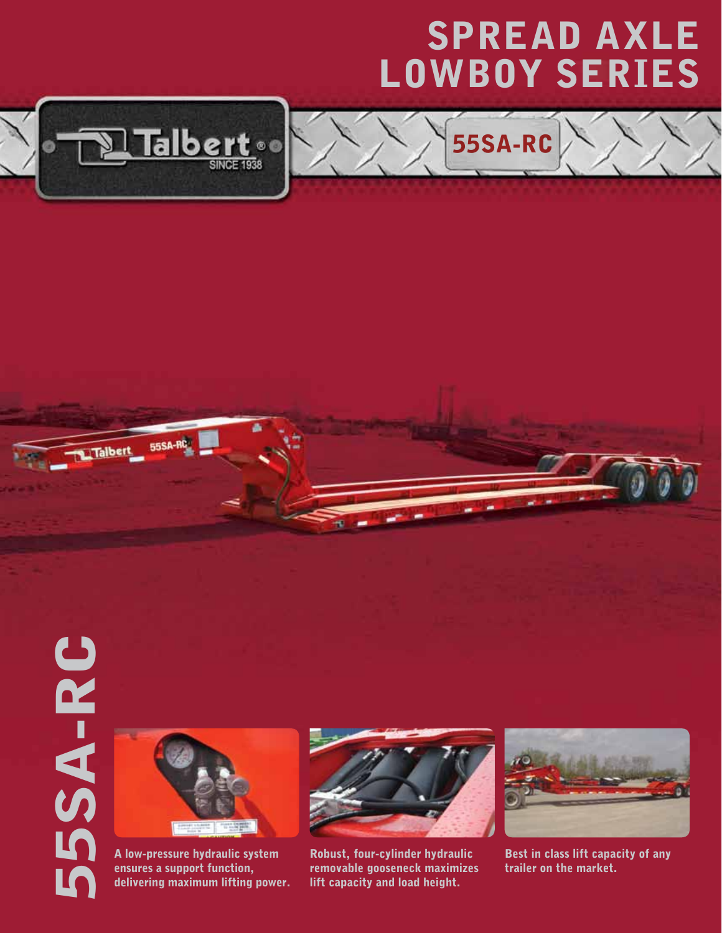## SPREAD AXLE LOWBOY Series

55SA-RC



Talber

## 5SA-RC 55SA-RC



A low-pressure hydraulic system ensures a support function, delivering maximum lifting power.



Robust, four-cylinder hydraulic removable gooseneck maximizes lift capacity and load height.



Best in class lift capacity of any trailer on the market.